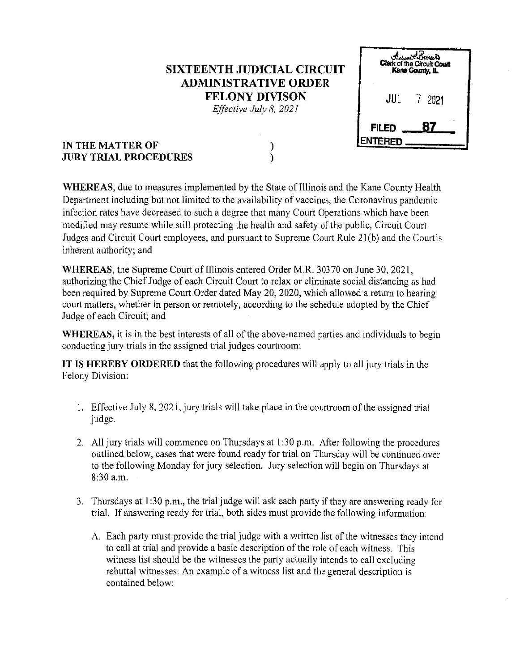## **SIXTEENTH JUDICIAL CIRCUIT ADMINISTRATIVE ORDER FELONY DIVISON**

*Effective July 8, 2021* 

)  $\lambda$ 

|                               | Aerica Carreira<br>Clerk of the Circuit Court<br>Kane County, IL |  |
|-------------------------------|------------------------------------------------------------------|--|
| JUL                           | 2021<br>$\mathcal{V}$                                            |  |
| <b>FILED</b><br><b>ENTERE</b> | 87                                                               |  |

## **IN THE MATTER OF JURY TRIAL PROCEDURES**

**WHEREAS,** due to measures implemented by the State of Illinois and the Kane County Health Department including but not limited to the availability of vaccines, the Coronavirus pandemic infection rates have decreased to such a degree that many Court Operations which have been modified may resume while still protecting the health and safety of the public, Circuit Court Judges and Circuit Court employees, and pursuant to Supreme Court Rule 2l(b) and the Court's inherent authority; and

**WHEREAS,** the Supreme Court of Illinois entered Order M.R. 30370 on June 30,2021, authorizing the Chief Judge of each Circuit Court to relax or eliminate social distancing as had been required by Supreme Court Order dated May 20, 2020, which allowed a return to hearing court matters, whether in person or remotely, according to the schedule adopted by the Chief Judge of each Circuit; and

**WHEREAS,** it is in the best interests of all of the above-named parties and individuals to begin conducting jury trials in the assigned trial judges courtroom:

IT IS **HEREBY ORDERED** that the following procedures will apply to all jury trials in the Felony Division:

- 1. Effective July 8, 2021, jury trials will take place in the courtroom of the assigned trial judge.
- 2. All jury trials will commence on Thursdays at 1:30 p.m. After following the procedures outlined below, cases that were found ready for trial on Thursday will be continued over to the following Monday for jury selection. Jury selection will begin on Thursdays at 8:30a.m.
- 3. Thursdays at I :30 p.m., the trial judge will ask each party if they are answering ready for trial. If answering ready for trial, both sides must provide the following information:
	- A. Each party must provide the trial judge with a written list of the witnesses they intend to call at trial and provide a basic description of the role of each witness. This witness list should be the witnesses the party actually intends to call excluding rebuttal witnesses. An example of a witness list and the general description is contained below: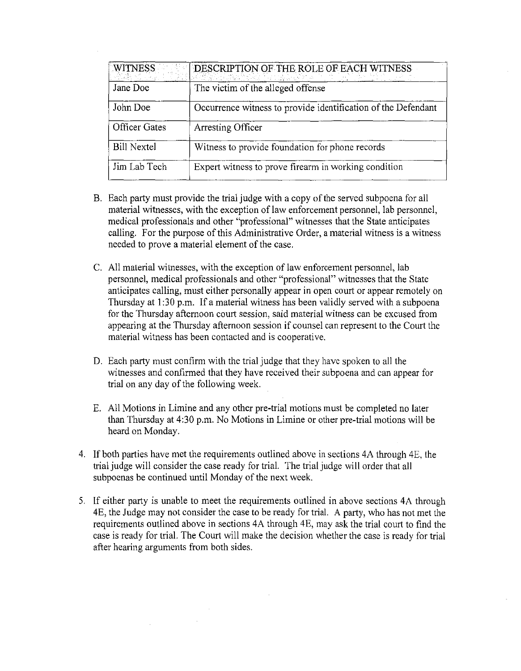| <b>WITNESS</b>       | DESCRIPTION OF THE ROLE OF EACH WITNESS                       |
|----------------------|---------------------------------------------------------------|
| Jane Doe             | The victim of the alleged offense                             |
| John Doe             | Occurrence witness to provide identification of the Defendant |
| <b>Officer Gates</b> | Arresting Officer                                             |
| <b>Bill Nextel</b>   | Witness to provide foundation for phone records               |
| Jim Lab Tech         | Expert witness to prove firearm in working condition          |

- B. Each party must provide the trial judge with a copy of the served subpoena for all material witnesses, with the exception of law enforcement personnel, Jab personnel, medical professionals and other "professional" witnesses that the State anticipates calling. For the purpose of this Administrative Order, a material witness is a witness needed to prove a material element of the case.
- C. All material witnesses, with the exception of law enforcement personnel, lab personnel, medical professionals and other "professional" witnesses that the State anticipates calling, must either personally appear in open court or appear remotely on Thursday at 1:30 p.m. If a material witness has been validly served with a subpoena for the Thursday afternoon court session, said material witness can be excused from appearing at the Thursday afternoon session if counsel can represent to the Court the material witness has been contacted and is cooperative.
- D. Each party must confirm with the trial judge that they have spoken to all the witnesses and confirmed that they have received their subpoena and can appear for trial on any day of the following week.
- E. All Motions in Limine and any other pre-trial motions must be completed no later than Thursday at 4:30 p.m. No Motions in Limine or other pre-trial motions will be heard on Monday.
- 4. If both parties have met the requirements outlined above in sections 4A through 4E, the trial judge will consider the case ready for trial. The trial judge will order that all subpoenas be continued until Monday of the next week.
- 5. If either party is unable to meet the requirements outlined in above sections 4A through 4E, the Judge may not consider the case to be ready for trial. A party, who has not met the requirements outlined above in sections 4A through 4E, may ask the trial court to find the case is ready for trial. The Court will make the decision whether the case is ready for trial after hearing arguments from both sides.

 $\sim$ 

 $\Delta \sim 10$